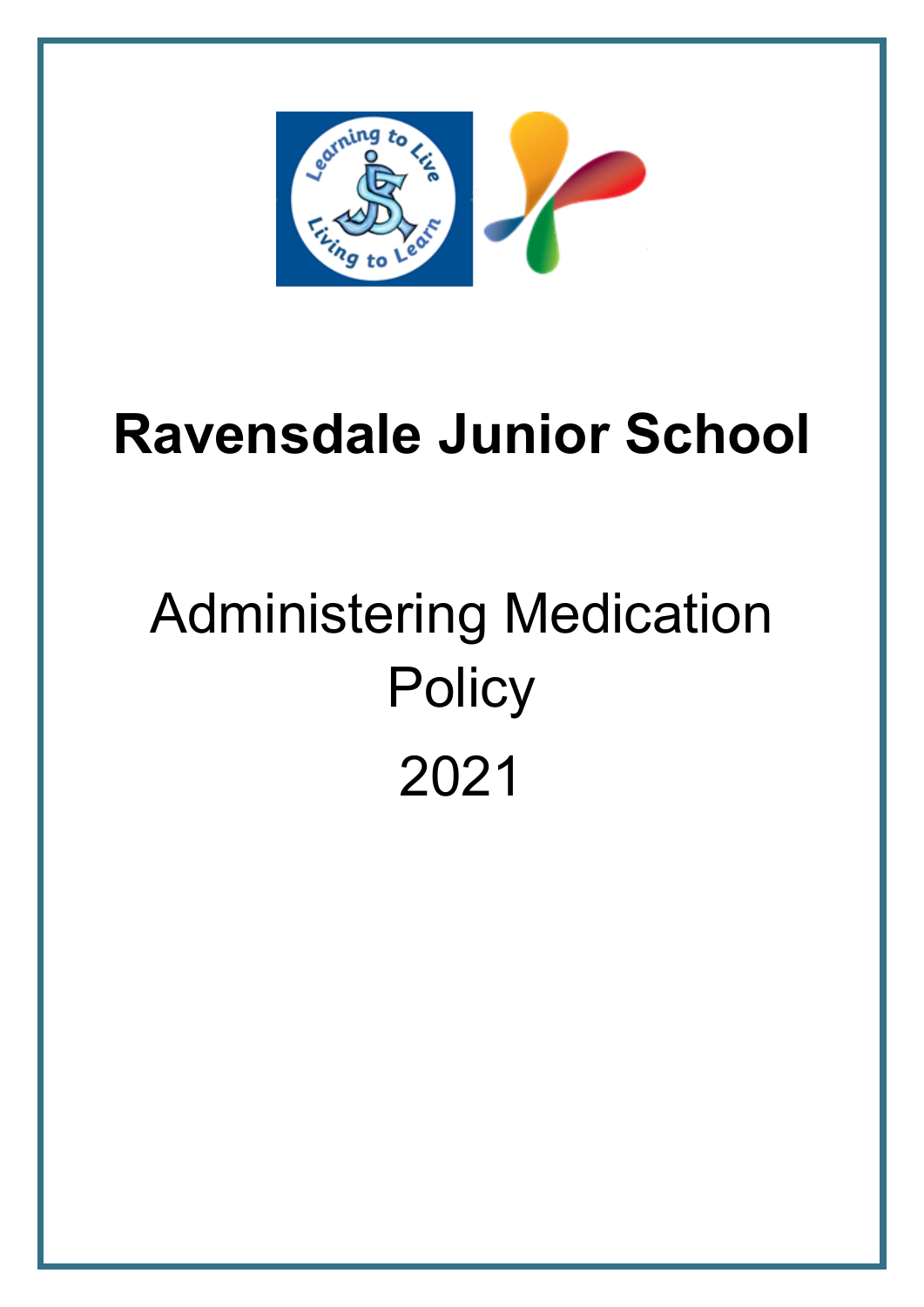

# **Ravensdale Junior School**

# Administering Medication **Policy** 2021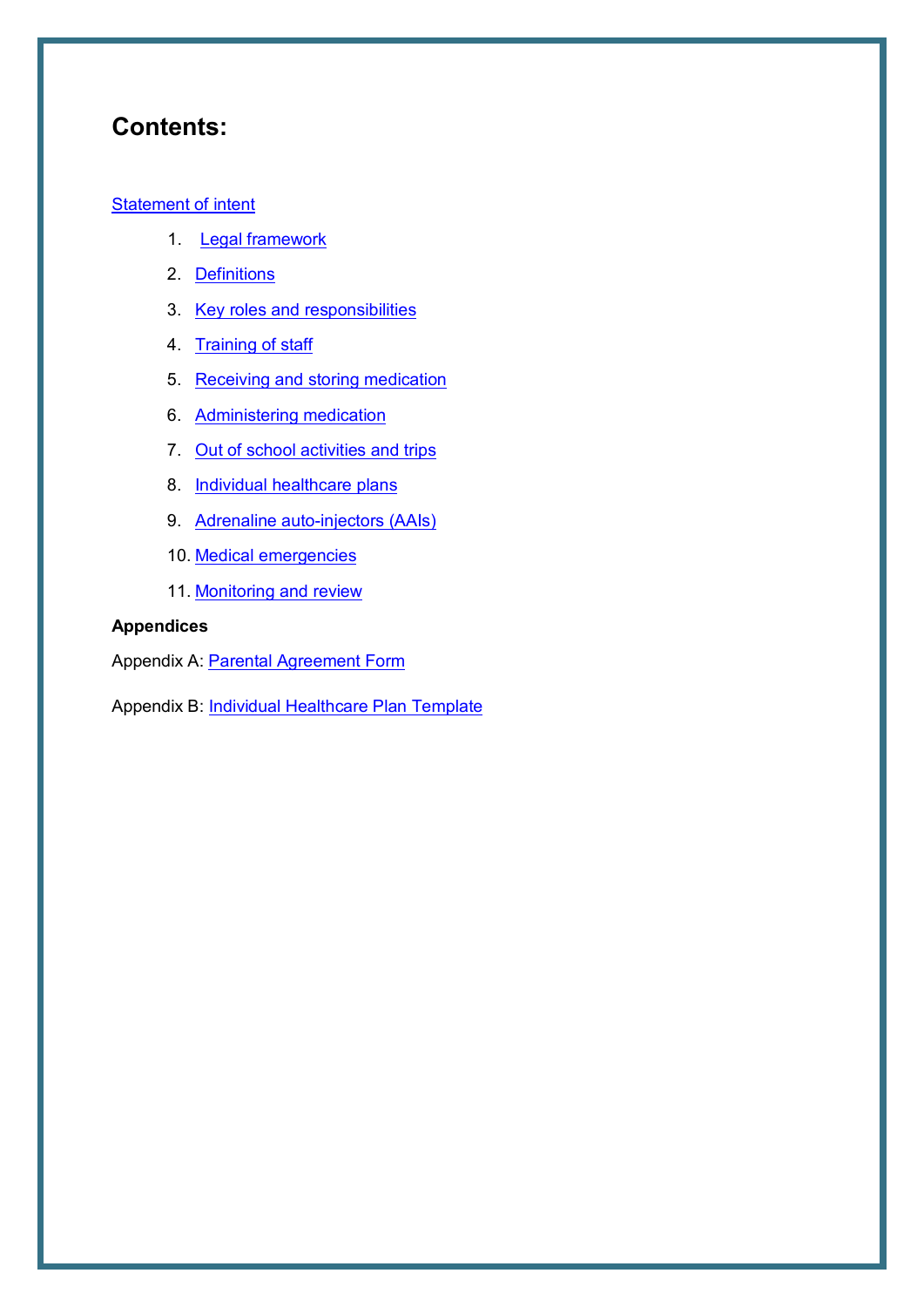## **Contents:**

#### **[Statement of intent](#page-2-0)**

- 1. [Legal framework](#page-3-0)
- 2. [Definitions](#page-3-1)
- 3. [Key roles and responsibilities](#page-3-2)
- 4. [Training of staff](#page-5-0)
- 5. [Receiving and storing medication](#page-5-1)
- 6. [Administering medication](#page-7-0)
- 7. [Out of school activities and trips](#page-8-0)
- 8. [Individual healthcare plans](#page-9-0)
- 9. [Adrenaline auto-injectors \(AAIs\)](#page-10-0)
- 10. [Medical emergencies](#page-12-0)
- 11. Monitoring [and review](#page-12-1)

#### **Appendices**

Appendix A: [Parental Agreement Form](#page-14-0)

Appendix B: [Individual Healthcare Plan Template](#page-15-0)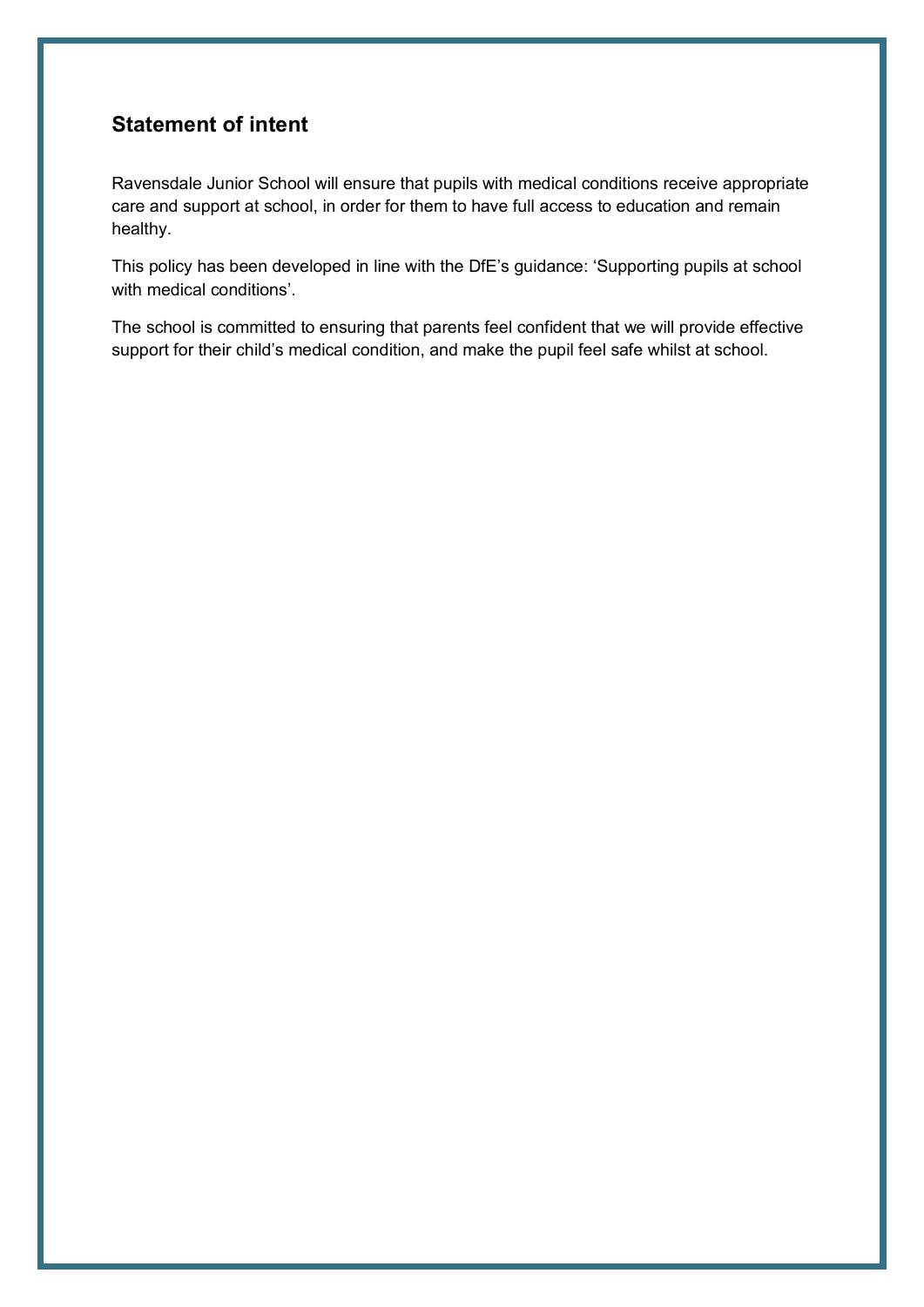## <span id="page-2-0"></span>**Statement of intent**

Ravensdale Junior School will ensure that pupils with medical conditions receive appropriate care and support at school, in order for them to have full access to education and remain healthy.

This policy has been developed in line with the DfE's guidance: 'Supporting pupils at school with medical conditions'.

The school is committed to ensuring that parents feel confident that we will provide effective support for their child's medical condition, and make the pupil feel safe whilst at school.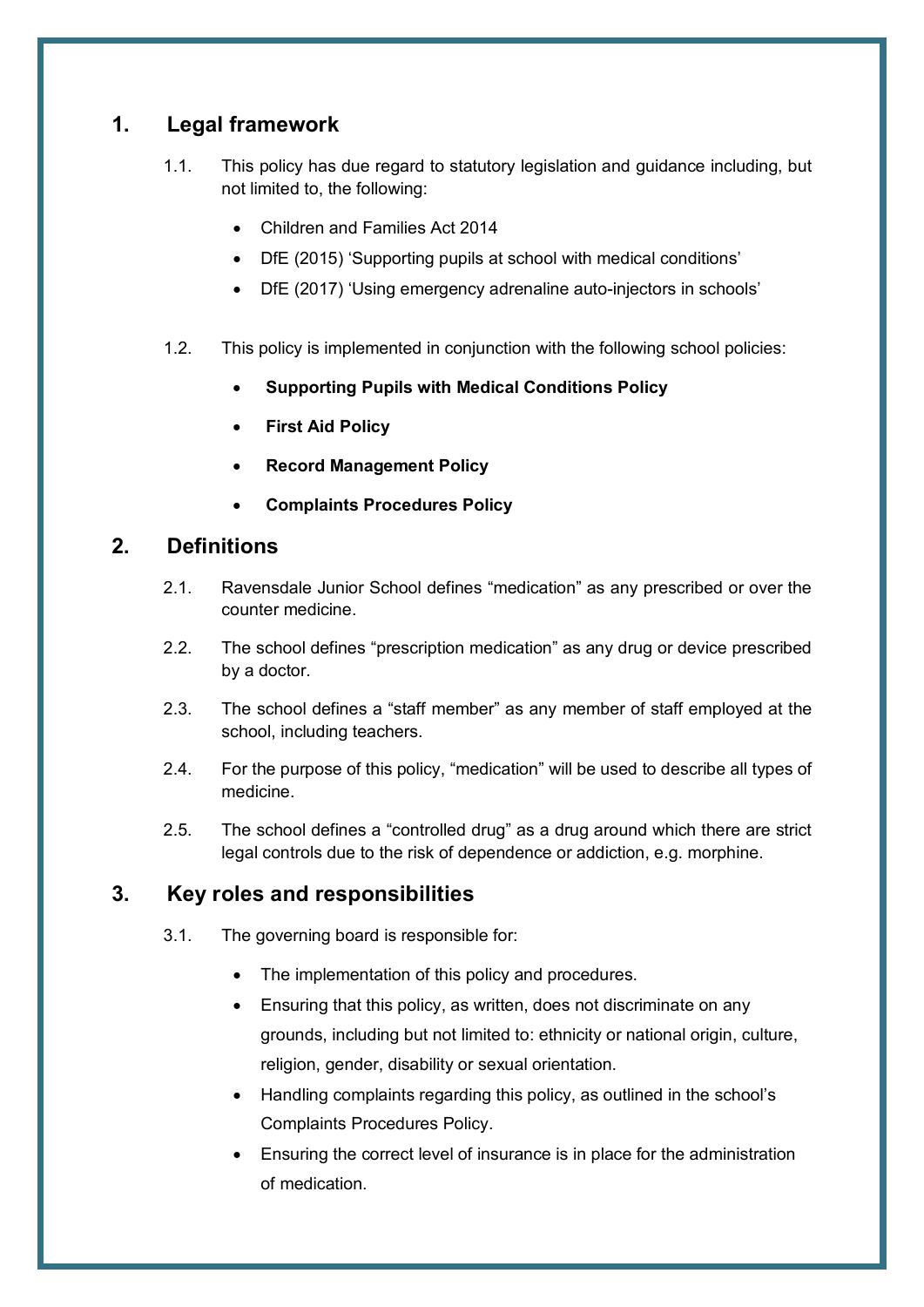## <span id="page-3-0"></span>**1. Legal framework**

- 1.1. This policy has due regard to statutory legislation and guidance including, but not limited to, the following:
	- Children and Families Act 2014
	- DfE (2015) 'Supporting pupils at school with medical conditions'
	- DfE (2017) 'Using emergency adrenaline auto-injectors in schools'
- 1.2. This policy is implemented in conjunction with the following school policies:
	- **Supporting Pupils with Medical Conditions Policy**
	- **First Aid Policy**
	- **Record Management Policy**
	- **Complaints Procedures Policy**

### <span id="page-3-1"></span>**2. Definitions**

- 2.1. Ravensdale Junior School defines "medication" as any prescribed or over the counter medicine.
- 2.2. The school defines "prescription medication" as any drug or device prescribed by a doctor.
- 2.3. The school defines a "staff member" as any member of staff employed at the school, including teachers.
- 2.4. For the purpose of this policy, "medication" will be used to describe all types of medicine.
- 2.5. The school defines a "controlled drug" as a drug around which there are strict legal controls due to the risk of dependence or addiction, e.g. morphine.

## <span id="page-3-2"></span>**3. Key roles and responsibilities**

- 3.1. The governing board is responsible for:
	- The implementation of this policy and procedures.
	- Ensuring that this policy, as written, does not discriminate on any grounds, including but not limited to: ethnicity or national origin, culture, religion, gender, disability or sexual orientation.
	- Handling complaints regarding this policy, as outlined in the school's Complaints Procedures Policy.
	- Ensuring the correct level of insurance is in place for the administration of medication.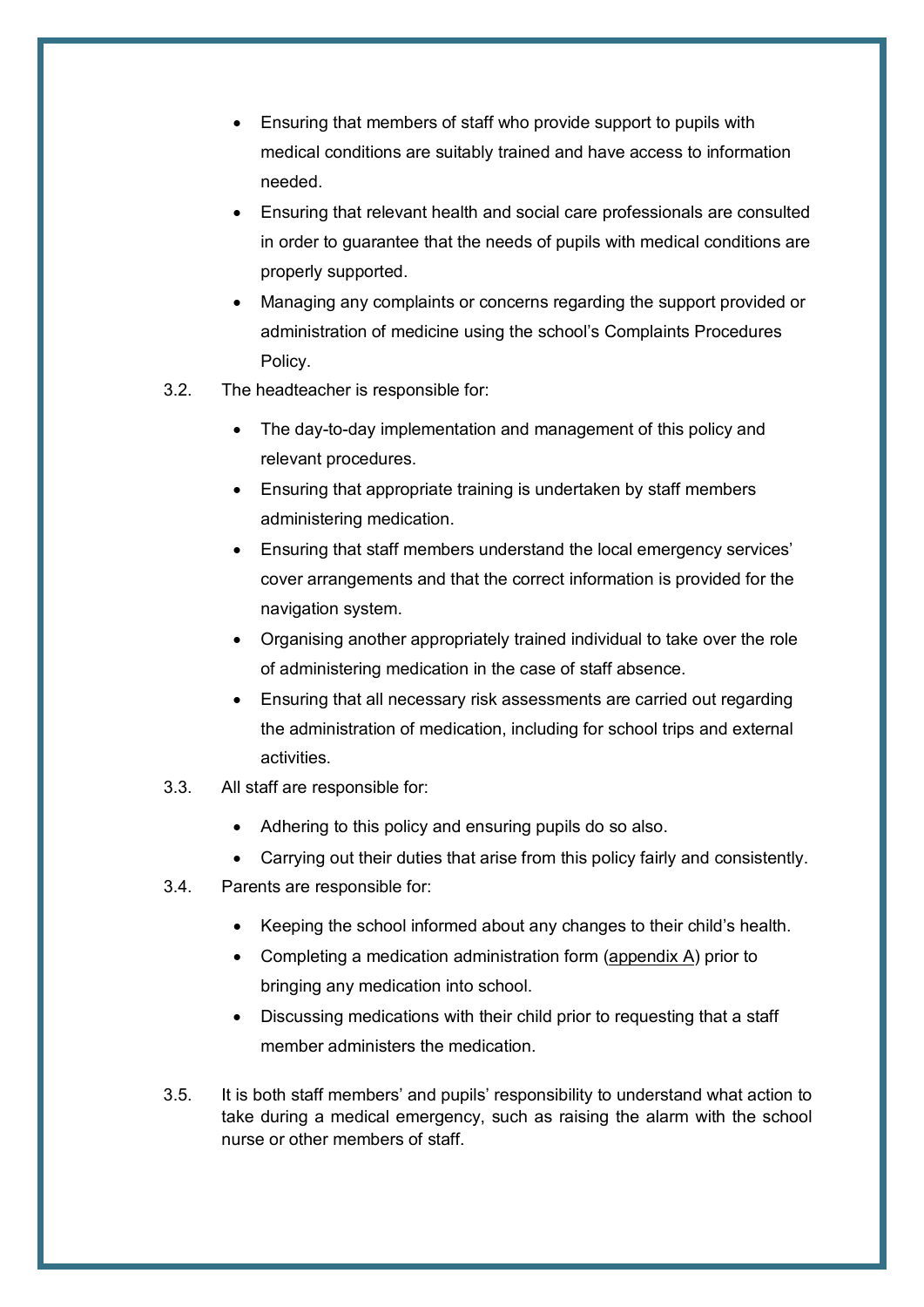- Ensuring that members of staff who provide support to pupils with medical conditions are suitably trained and have access to information needed.
- Ensuring that relevant health and social care professionals are consulted in order to guarantee that the needs of pupils with medical conditions are properly supported.
- Managing any complaints or concerns regarding the support provided or administration of medicine using the school's Complaints Procedures Policy.
- 3.2. The headteacher is responsible for:
	- The day-to-day implementation and management of this policy and relevant procedures.
	- Ensuring that appropriate training is undertaken by staff members administering medication.
	- Ensuring that staff members understand the local emergency services' cover arrangements and that the correct information is provided for the navigation system.
	- Organising another appropriately trained individual to take over the role of administering medication in the case of staff absence.
	- Ensuring that all necessary risk assessments are carried out regarding the administration of medication, including for school trips and external activities.
- 3.3. All staff are responsible for:
	- Adhering to this policy and ensuring pupils do so also.
	- Carrying out their duties that arise from this policy fairly and consistently.
- 3.4. Parents are responsible for:
	- Keeping the school informed about any changes to their child's health.
	- Completing a medication administration form [\(appendix A\)](#page-14-0) prior to bringing any medication into school.
	- Discussing medications with their child prior to requesting that a staff member administers the medication.
- 3.5. It is both staff members' and pupils' responsibility to understand what action to take during a medical emergency, such as raising the alarm with the school nurse or other members of staff.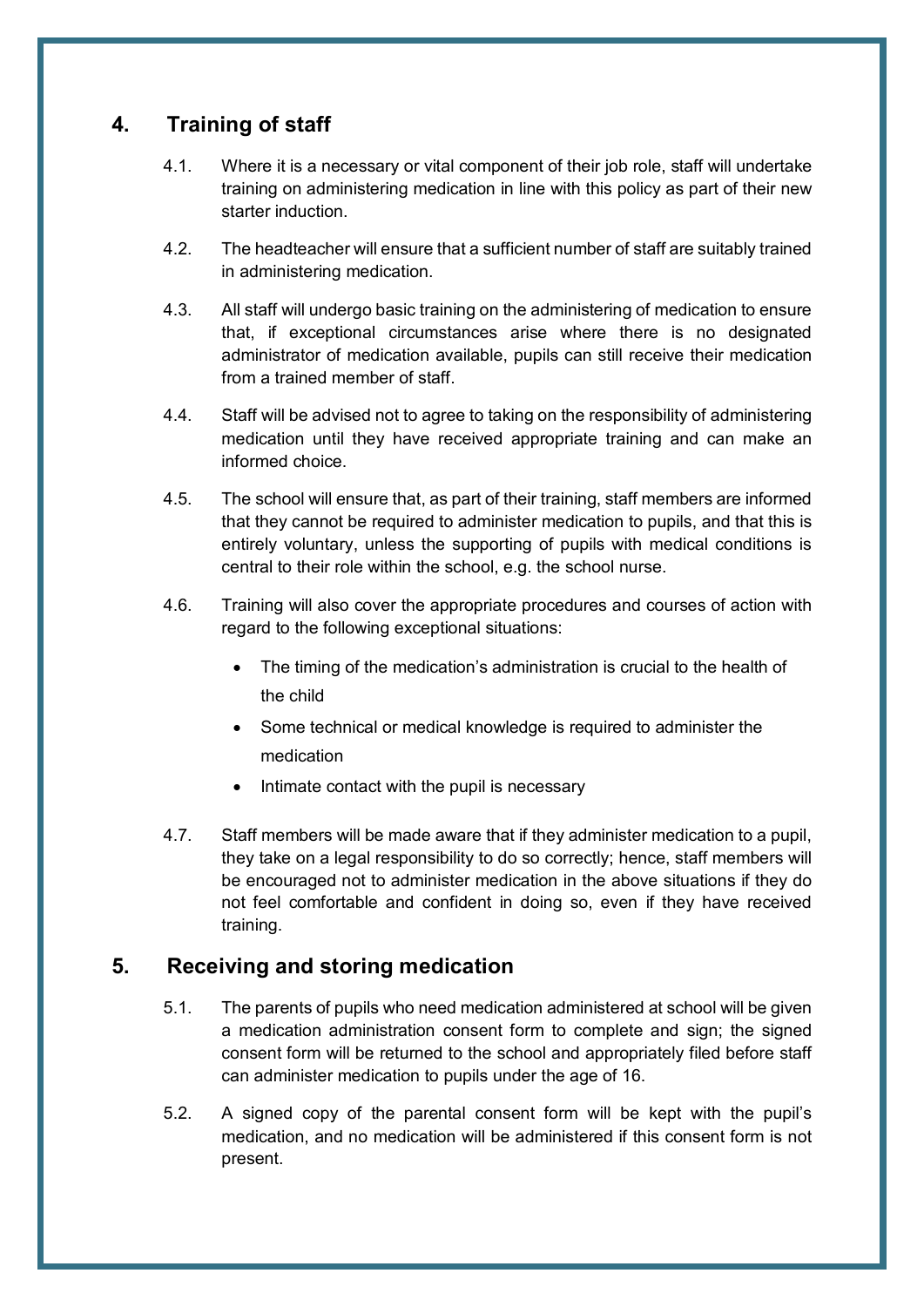## <span id="page-5-0"></span>**4. Training of staff**

- 4.1. Where it is a necessary or vital component of their job role, staff will undertake training on administering medication in line with this policy as part of their new starter induction.
- 4.2. The headteacher will ensure that a sufficient number of staff are suitably trained in administering medication.
- 4.3. All staff will undergo basic training on the administering of medication to ensure that, if exceptional circumstances arise where there is no designated administrator of medication available, pupils can still receive their medication from a trained member of staff.
- 4.4. Staff will be advised not to agree to taking on the responsibility of administering medication until they have received appropriate training and can make an informed choice.
- 4.5. The school will ensure that, as part of their training, staff members are informed that they cannot be required to administer medication to pupils, and that this is entirely voluntary, unless the supporting of pupils with medical conditions is central to their role within the school, e.g. the school nurse.
- 4.6. Training will also cover the appropriate procedures and courses of action with regard to the following exceptional situations:
	- The timing of the medication's administration is crucial to the health of the child
	- Some technical or medical knowledge is required to administer the medication
	- Intimate contact with the pupil is necessary
- 4.7. Staff members will be made aware that if they administer medication to a pupil, they take on a legal responsibility to do so correctly; hence, staff members will be encouraged not to administer medication in the above situations if they do not feel comfortable and confident in doing so, even if they have received training.

## <span id="page-5-1"></span>**5. Receiving and storing medication**

- 5.1. The parents of pupils who need medication administered at school will be given a medication administration consent form to complete and sign; the signed consent form will be returned to the school and appropriately filed before staff can administer medication to pupils under the age of 16.
- 5.2. A signed copy of the parental consent form will be kept with the pupil's medication, and no medication will be administered if this consent form is not present.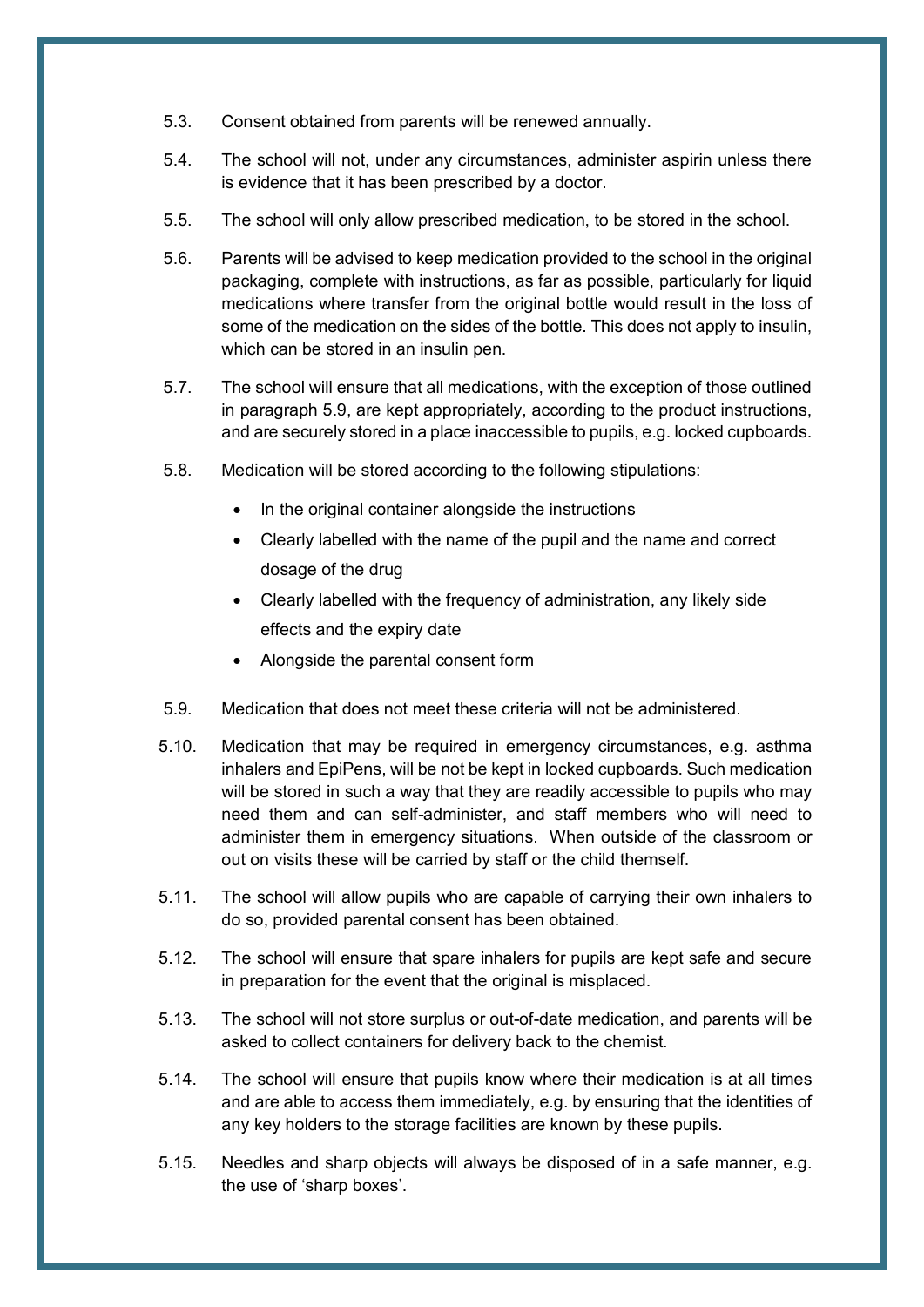- 5.3. Consent obtained from parents will be renewed annually.
- 5.4. The school will not, under any circumstances, administer aspirin unless there is evidence that it has been prescribed by a doctor.
- 5.5. The school will only allow prescribed medication, to be stored in the school.
- 5.6. Parents will be advised to keep medication provided to the school in the original packaging, complete with instructions, as far as possible, particularly for liquid medications where transfer from the original bottle would result in the loss of some of the medication on the sides of the bottle. This does not apply to insulin, which can be stored in an insulin pen.
- 5.7. The school will ensure that all medications, with the exception of those outlined in paragraph 5.9, are kept appropriately, according to the product instructions, and are securely stored in a place inaccessible to pupils, e.g. locked cupboards.
- 5.8. Medication will be stored according to the following stipulations:
	- In the original container alongside the instructions
	- Clearly labelled with the name of the pupil and the name and correct dosage of the drug
	- Clearly labelled with the frequency of administration, any likely side effects and the expiry date
	- Alongside the parental consent form
- 5.9. Medication that does not meet these criteria will not be administered.
- 5.10. Medication that may be required in emergency circumstances, e.g. asthma inhalers and EpiPens, will be not be kept in locked cupboards. Such medication will be stored in such a way that they are readily accessible to pupils who may need them and can self-administer, and staff members who will need to administer them in emergency situations. When outside of the classroom or out on visits these will be carried by staff or the child themself.
- 5.11. The school will allow pupils who are capable of carrying their own inhalers to do so, provided parental consent has been obtained.
- 5.12. The school will ensure that spare inhalers for pupils are kept safe and secure in preparation for the event that the original is misplaced.
- 5.13. The school will not store surplus or out-of-date medication, and parents will be asked to collect containers for delivery back to the chemist.
- 5.14. The school will ensure that pupils know where their medication is at all times and are able to access them immediately, e.g. by ensuring that the identities of any key holders to the storage facilities are known by these pupils.
- 5.15. Needles and sharp objects will always be disposed of in a safe manner, e.g. the use of 'sharp boxes'.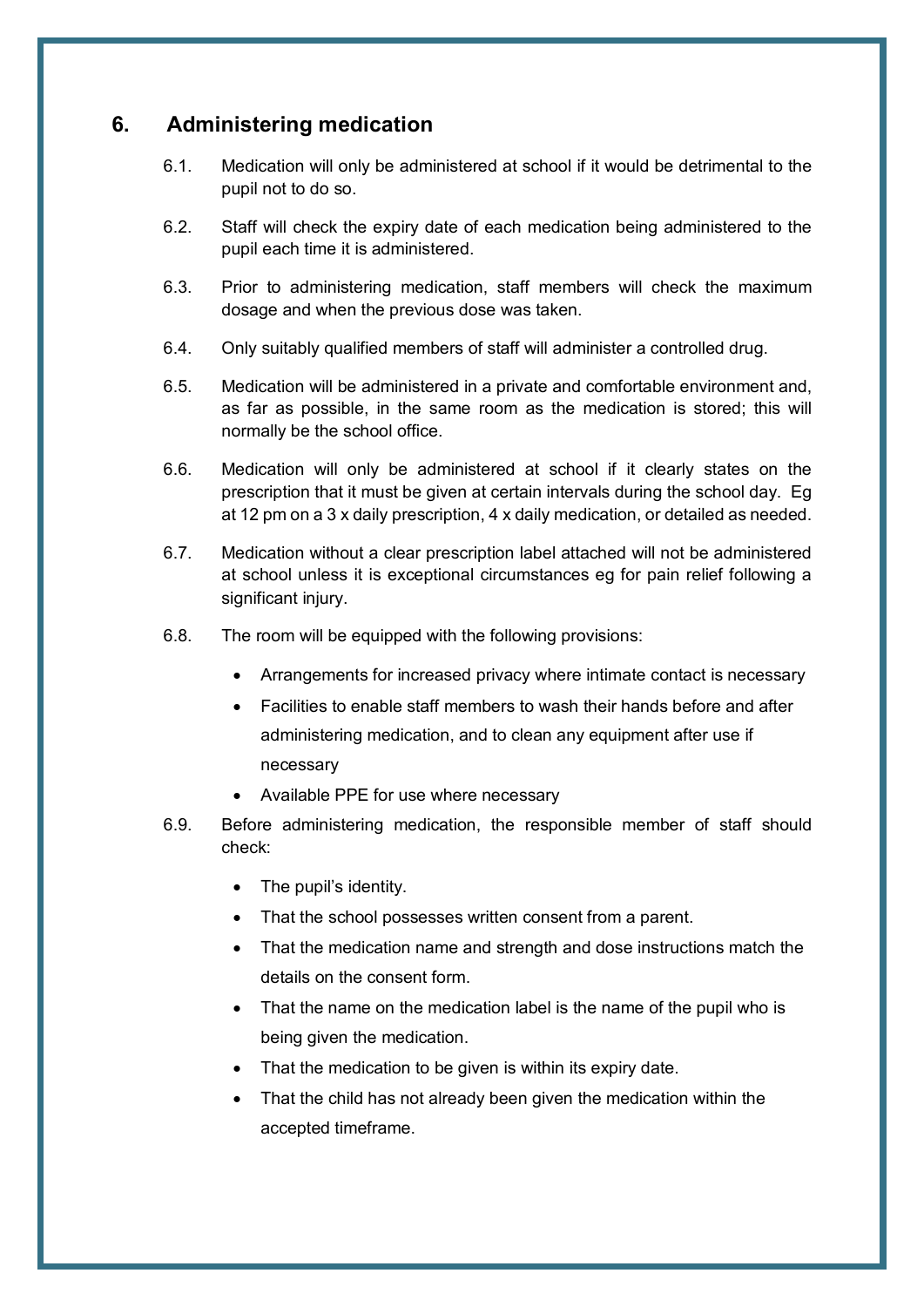## <span id="page-7-0"></span>**6. Administering medication**

- 6.1. Medication will only be administered at school if it would be detrimental to the pupil not to do so.
- 6.2. Staff will check the expiry date of each medication being administered to the pupil each time it is administered.
- 6.3. Prior to administering medication, staff members will check the maximum dosage and when the previous dose was taken.
- 6.4. Only suitably qualified members of staff will administer a controlled drug.
- 6.5. Medication will be administered in a private and comfortable environment and, as far as possible, in the same room as the medication is stored; this will normally be the school office.
- 6.6. Medication will only be administered at school if it clearly states on the prescription that it must be given at certain intervals during the school day. Eg at 12 pm on a 3 x daily prescription, 4 x daily medication, or detailed as needed.
- 6.7. Medication without a clear prescription label attached will not be administered at school unless it is exceptional circumstances eg for pain relief following a significant injury.
- 6.8. The room will be equipped with the following provisions:
	- Arrangements for increased privacy where intimate contact is necessary
	- Facilities to enable staff members to wash their hands before and after administering medication, and to clean any equipment after use if necessary
	- Available PPE for use where necessary
- 6.9. Before administering medication, the responsible member of staff should check:
	- The pupil's identity.
	- That the school possesses written consent from a parent.
	- That the medication name and strength and dose instructions match the details on the consent form.
	- That the name on the medication label is the name of the pupil who is being given the medication.
	- That the medication to be given is within its expiry date.
	- That the child has not already been given the medication within the accepted timeframe.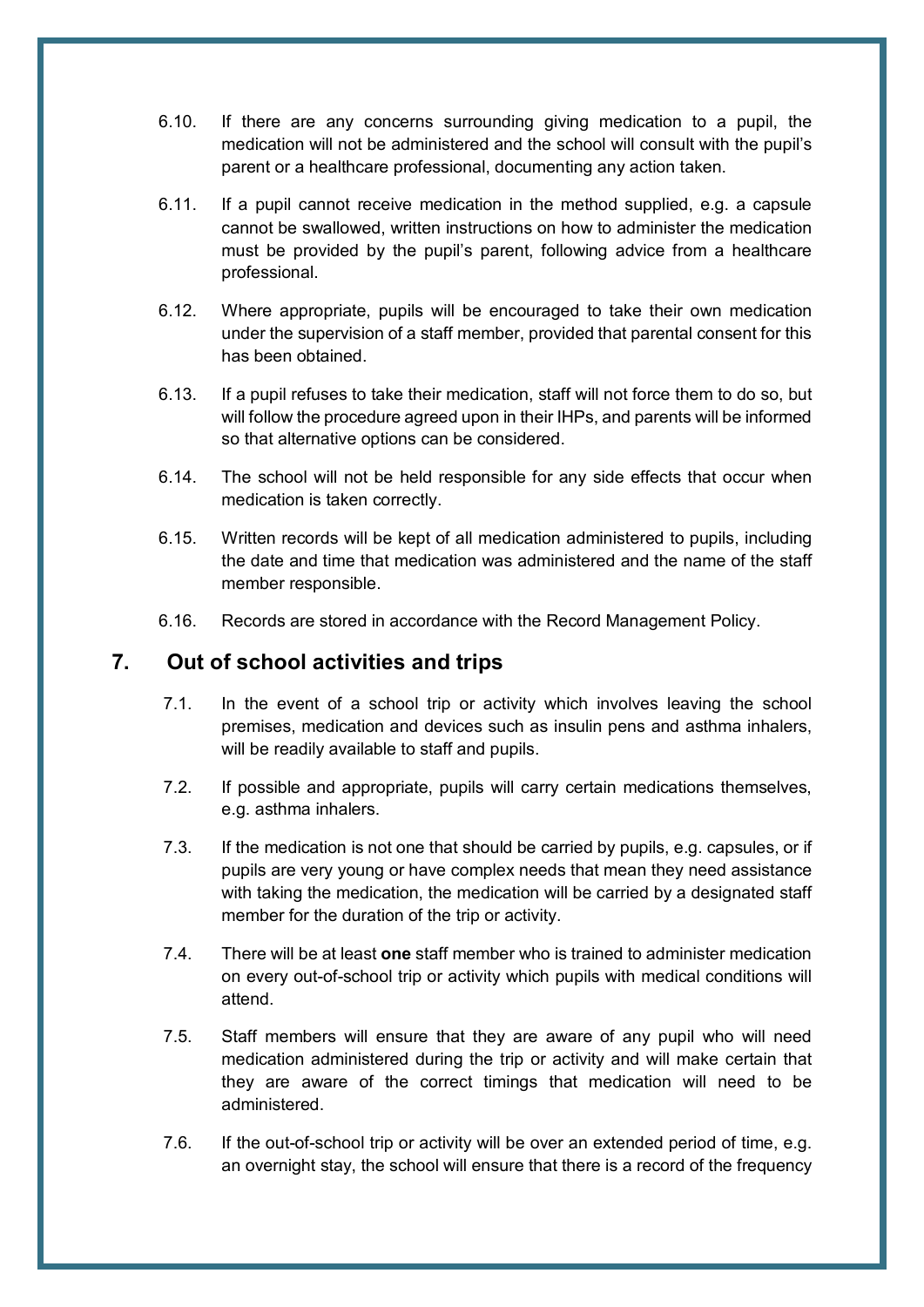- 6.10. If there are any concerns surrounding giving medication to a pupil, the medication will not be administered and the school will consult with the pupil's parent or a healthcare professional, documenting any action taken.
- 6.11. If a pupil cannot receive medication in the method supplied, e.g. a capsule cannot be swallowed, written instructions on how to administer the medication must be provided by the pupil's parent, following advice from a healthcare professional.
- 6.12. Where appropriate, pupils will be encouraged to take their own medication under the supervision of a staff member, provided that parental consent for this has been obtained.
- 6.13. If a pupil refuses to take their medication, staff will not force them to do so, but will follow the procedure agreed upon in their IHPs, and parents will be informed so that alternative options can be considered.
- 6.14. The school will not be held responsible for any side effects that occur when medication is taken correctly.
- 6.15. Written records will be kept of all medication administered to pupils, including the date and time that medication was administered and the name of the staff member responsible.
- 6.16. Records are stored in accordance with the Record Management Policy.

## <span id="page-8-0"></span>**7. Out of school activities and trips**

- 7.1. In the event of a school trip or activity which involves leaving the school premises, medication and devices such as insulin pens and asthma inhalers, will be readily available to staff and pupils.
- 7.2. If possible and appropriate, pupils will carry certain medications themselves, e.g. asthma inhalers.
- 7.3. If the medication is not one that should be carried by pupils, e.g. capsules, or if pupils are very young or have complex needs that mean they need assistance with taking the medication, the medication will be carried by a designated staff member for the duration of the trip or activity.
- 7.4. There will be at least **one** staff member who is trained to administer medication on every out-of-school trip or activity which pupils with medical conditions will attend.
- 7.5. Staff members will ensure that they are aware of any pupil who will need medication administered during the trip or activity and will make certain that they are aware of the correct timings that medication will need to be administered.
- 7.6. If the out-of-school trip or activity will be over an extended period of time, e.g. an overnight stay, the school will ensure that there is a record of the frequency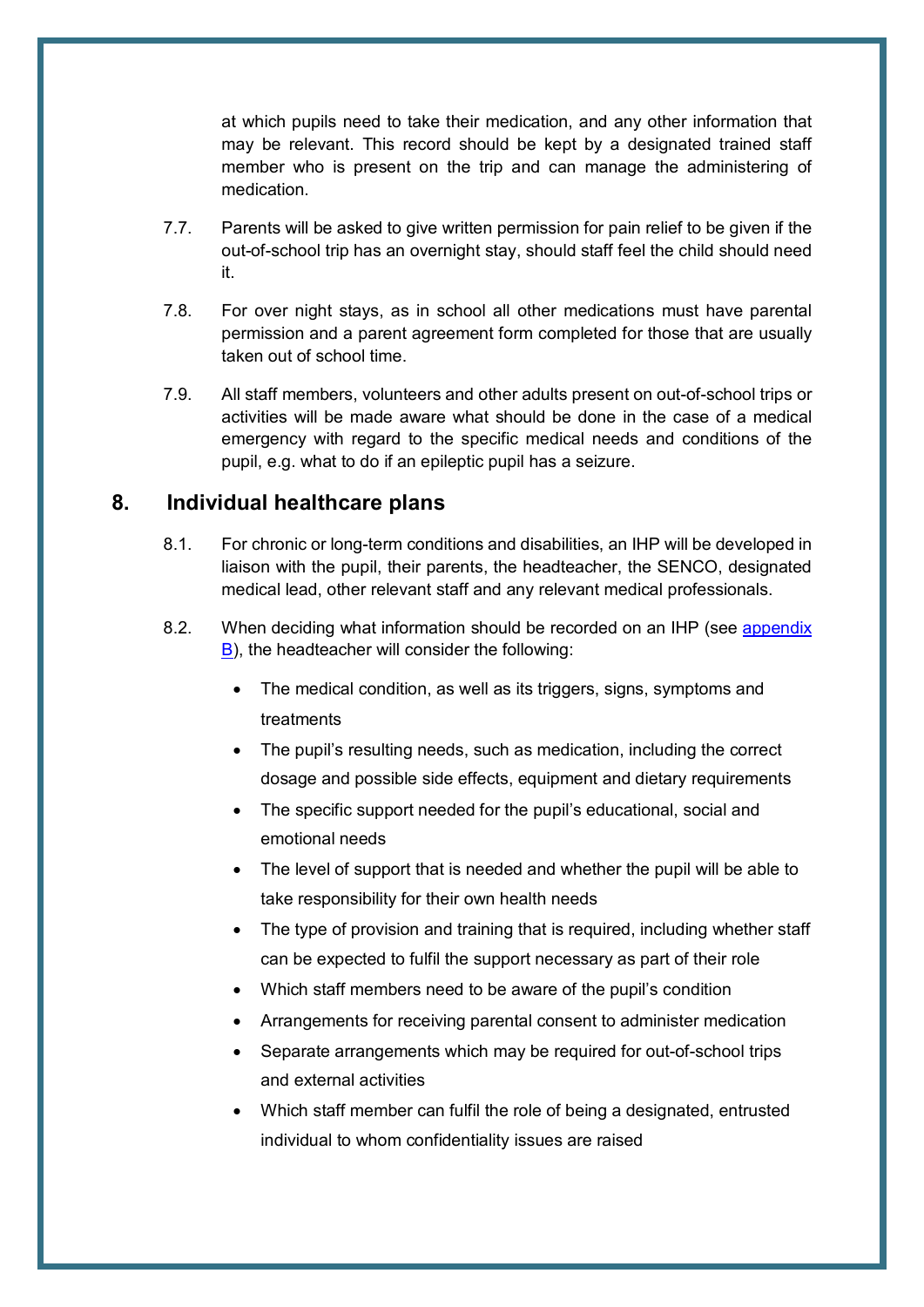at which pupils need to take their medication, and any other information that may be relevant. This record should be kept by a designated trained staff member who is present on the trip and can manage the administering of medication.

- 7.7. Parents will be asked to give written permission for pain relief to be given if the out-of-school trip has an overnight stay, should staff feel the child should need it.
- 7.8. For over night stays, as in school all other medications must have parental permission and a parent agreement form completed for those that are usually taken out of school time.
- 7.9. All staff members, volunteers and other adults present on out-of-school trips or activities will be made aware what should be done in the case of a medical emergency with regard to the specific medical needs and conditions of the pupil, e.g. what to do if an epileptic pupil has a seizure.

#### <span id="page-9-0"></span>**8. Individual healthcare plans**

- 8.1. For chronic or long-term conditions and disabilities, an IHP will be developed in liaison with the pupil, their parents, the headteacher, the SENCO, designated medical lead, other relevant staff and any relevant medical professionals.
- 8.2. When deciding what information should be recorded on an IHP (see [appendix](#page-15-0)  [B\)](#page-15-0), the headteacher will consider the following:
	- The medical condition, as well as its triggers, signs, symptoms and treatments
	- The pupil's resulting needs, such as medication, including the correct dosage and possible side effects, equipment and dietary requirements
	- The specific support needed for the pupil's educational, social and emotional needs
	- The level of support that is needed and whether the pupil will be able to take responsibility for their own health needs
	- The type of provision and training that is required, including whether staff can be expected to fulfil the support necessary as part of their role
	- Which staff members need to be aware of the pupil's condition
	- Arrangements for receiving parental consent to administer medication
	- Separate arrangements which may be required for out-of-school trips and external activities
	- Which staff member can fulfil the role of being a designated, entrusted individual to whom confidentiality issues are raised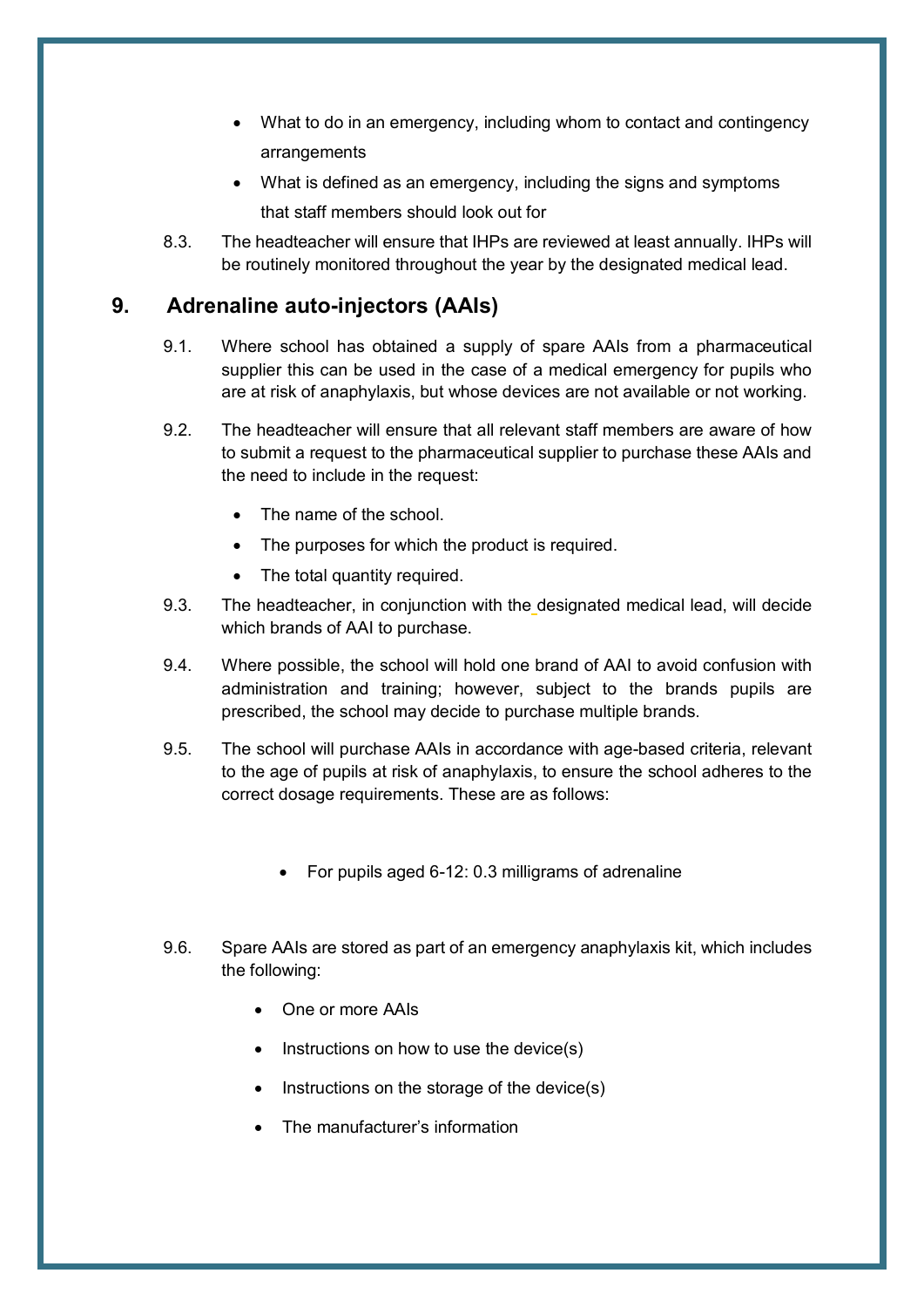- What to do in an emergency, including whom to contact and contingency arrangements
- What is defined as an emergency, including the signs and symptoms that staff members should look out for
- 8.3. The headteacher will ensure that IHPs are reviewed at least annually. IHPs will be routinely monitored throughout the year by the designated medical lead.

## <span id="page-10-0"></span>**9. Adrenaline auto-injectors (AAIs)**

- 9.1. Where school has obtained a supply of spare AAIs from a pharmaceutical supplier this can be used in the case of a medical emergency for pupils who are at risk of anaphylaxis, but whose devices are not available or not working.
- 9.2. The headteacher will ensure that all relevant staff members are aware of how to submit a request to the pharmaceutical supplier to purchase these AAIs and the need to include in the request:
	- The name of the school.
	- The purposes for which the product is required.
	- The total quantity required.
- 9.3. The headteacher, in conjunction with the designated medical lead, will decide which brands of AAI to purchase.
- 9.4. Where possible, the school will hold one brand of AAI to avoid confusion with administration and training; however, subject to the brands pupils are prescribed, the school may decide to purchase multiple brands.
- 9.5. The school will purchase AAIs in accordance with age-based criteria, relevant to the age of pupils at risk of anaphylaxis, to ensure the school adheres to the correct dosage requirements. These are as follows:
	- For pupils aged 6-12: 0.3 milligrams of adrenaline
- 9.6. Spare AAIs are stored as part of an emergency anaphylaxis kit, which includes the following:
	- One or more AAIs
	- Instructions on how to use the device(s)
	- Instructions on the storage of the device $(s)$
	- The manufacturer's information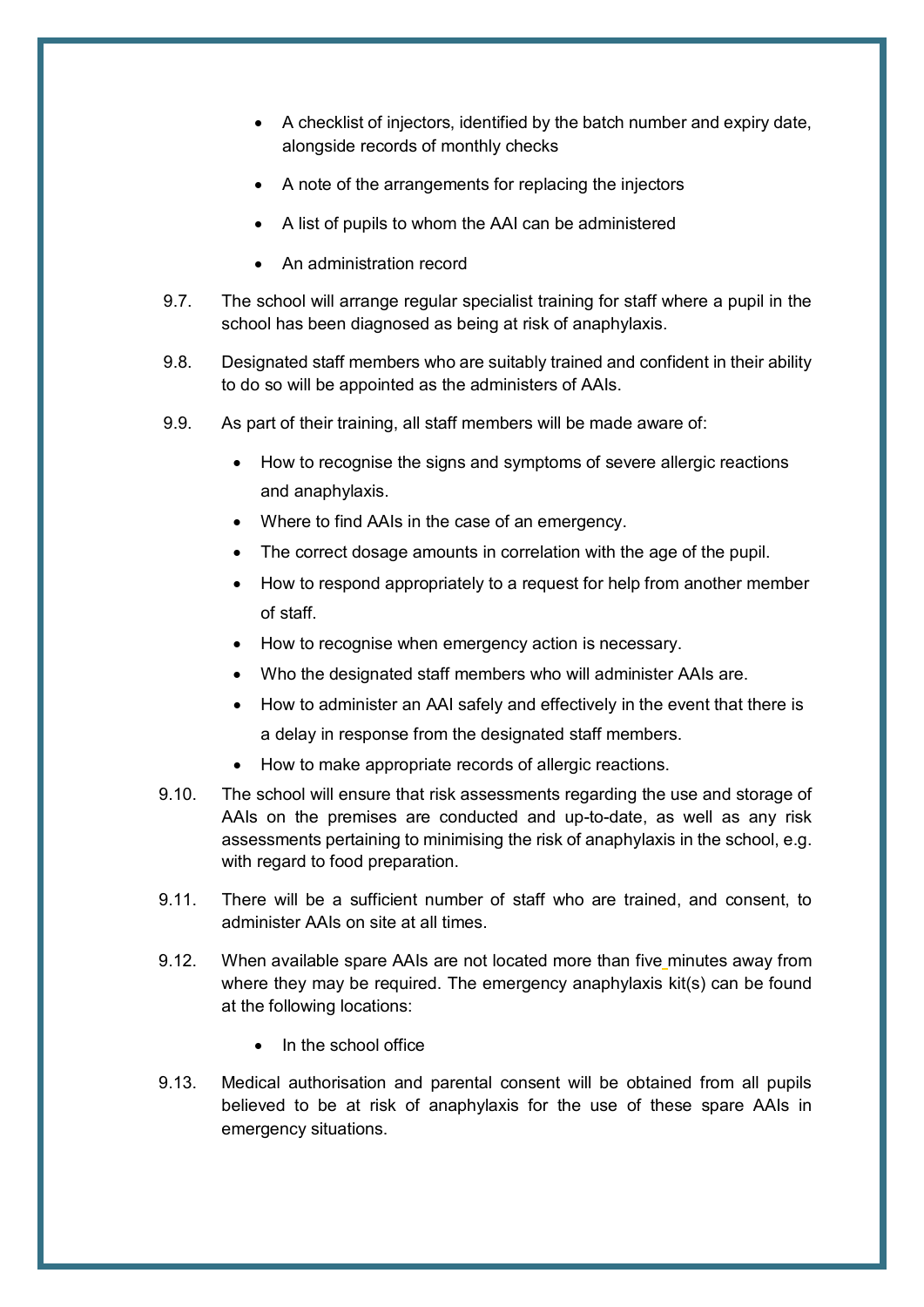- A checklist of injectors, identified by the batch number and expiry date, alongside records of monthly checks
- A note of the arrangements for replacing the injectors
- A list of pupils to whom the AAI can be administered
- An administration record
- 9.7. The school will arrange regular specialist training for staff where a pupil in the school has been diagnosed as being at risk of anaphylaxis.
- 9.8. Designated staff members who are suitably trained and confident in their ability to do so will be appointed as the administers of AAIs.
- 9.9. As part of their training, all staff members will be made aware of:
	- How to recognise the signs and symptoms of severe allergic reactions and anaphylaxis.
	- Where to find AAIs in the case of an emergency.
	- The correct dosage amounts in correlation with the age of the pupil.
	- How to respond appropriately to a request for help from another member of staff.
	- How to recognise when emergency action is necessary.
	- Who the designated staff members who will administer AAIs are.
	- How to administer an AAI safely and effectively in the event that there is a delay in response from the designated staff members.
	- How to make appropriate records of allergic reactions.
- 9.10. The school will ensure that risk assessments regarding the use and storage of AAIs on the premises are conducted and up-to-date, as well as any risk assessments pertaining to minimising the risk of anaphylaxis in the school, e.g. with regard to food preparation.
- 9.11. There will be a sufficient number of staff who are trained, and consent, to administer AAIs on site at all times.
- 9.12. When available spare AAIs are not located more than five minutes away from where they may be required. The emergency anaphylaxis kit(s) can be found at the following locations:
	- In the school office
- 9.13. Medical authorisation and parental consent will be obtained from all pupils believed to be at risk of anaphylaxis for the use of these spare AAIs in emergency situations.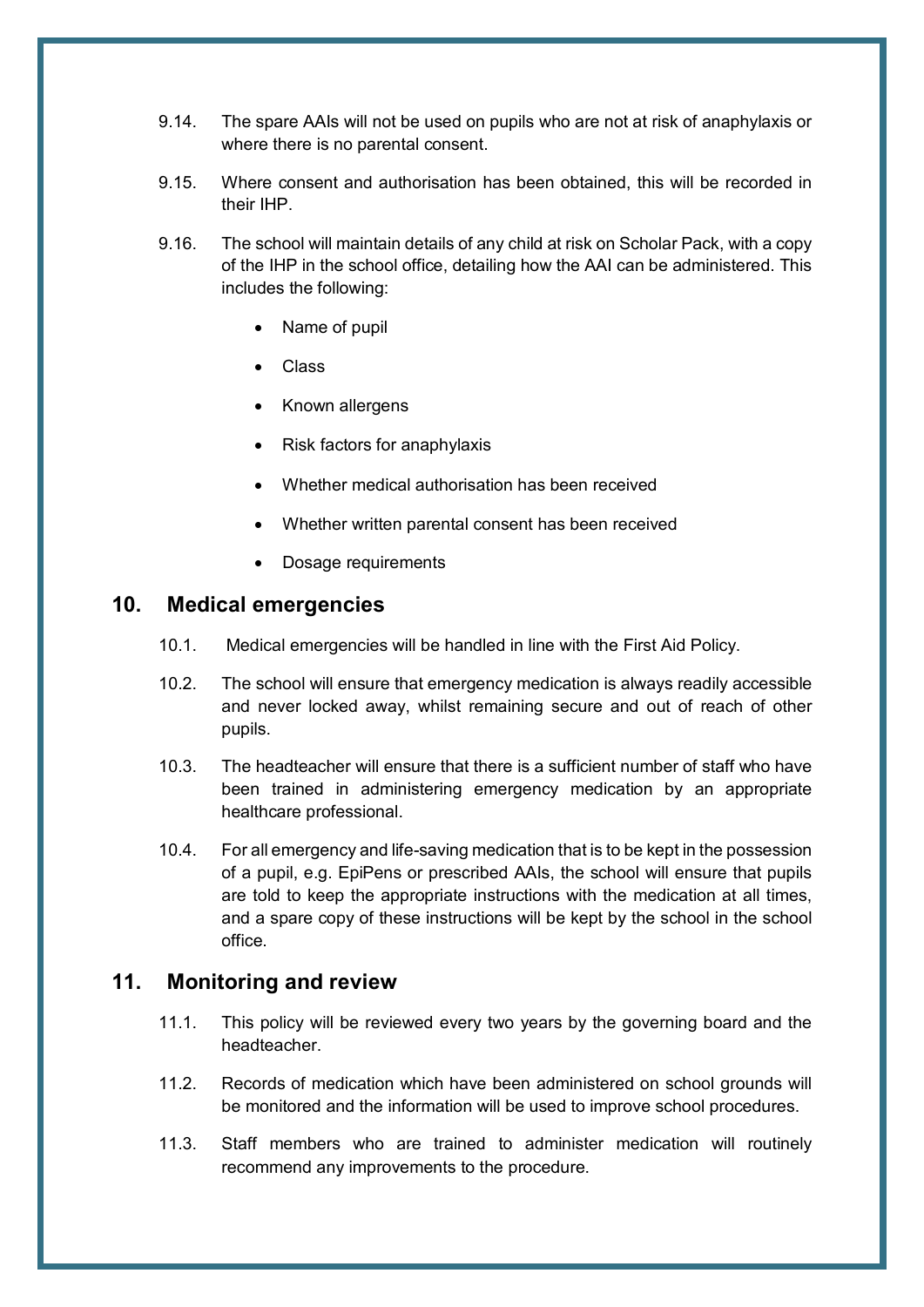- 9.14. The spare AAIs will not be used on pupils who are not at risk of anaphylaxis or where there is no parental consent.
- 9.15. Where consent and authorisation has been obtained, this will be recorded in their IHP.
- 9.16. The school will maintain details of any child at risk on Scholar Pack, with a copy of the IHP in the school office, detailing how the AAI can be administered. This includes the following:
	- Name of pupil
	- Class
	- Known allergens
	- Risk factors for anaphylaxis
	- Whether medical authorisation has been received
	- Whether written parental consent has been received
	- Dosage requirements

### <span id="page-12-0"></span>**10. Medical emergencies**

- 10.1. Medical emergencies will be handled in line with the First Aid Policy.
- 10.2. The school will ensure that emergency medication is always readily accessible and never locked away, whilst remaining secure and out of reach of other pupils.
- 10.3. The headteacher will ensure that there is a sufficient number of staff who have been trained in administering emergency medication by an appropriate healthcare professional.
- 10.4. For all emergency and life-saving medication that is to be kept in the possession of a pupil, e.g. EpiPens or prescribed AAIs, the school will ensure that pupils are told to keep the appropriate instructions with the medication at all times, and a spare copy of these instructions will be kept by the school in the school office.

#### <span id="page-12-1"></span>**11. Monitoring and review**

- 11.1. This policy will be reviewed every two years by the governing board and the headteacher.
- 11.2. Records of medication which have been administered on school grounds will be monitored and the information will be used to improve school procedures.
- 11.3. Staff members who are trained to administer medication will routinely recommend any improvements to the procedure.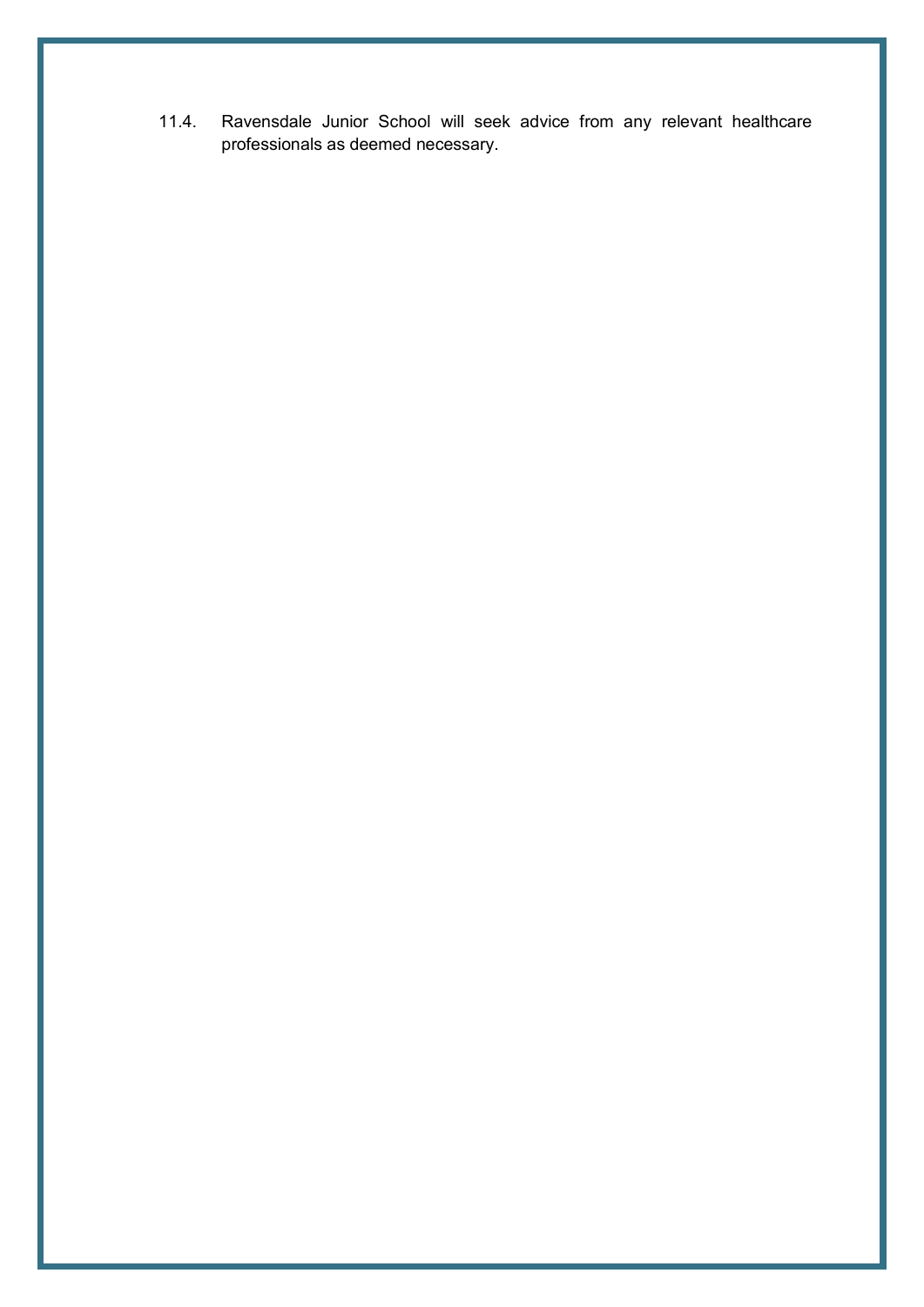11.4. Ravensdale Junior School will seek advice from any relevant healthcare professionals as deemed necessary.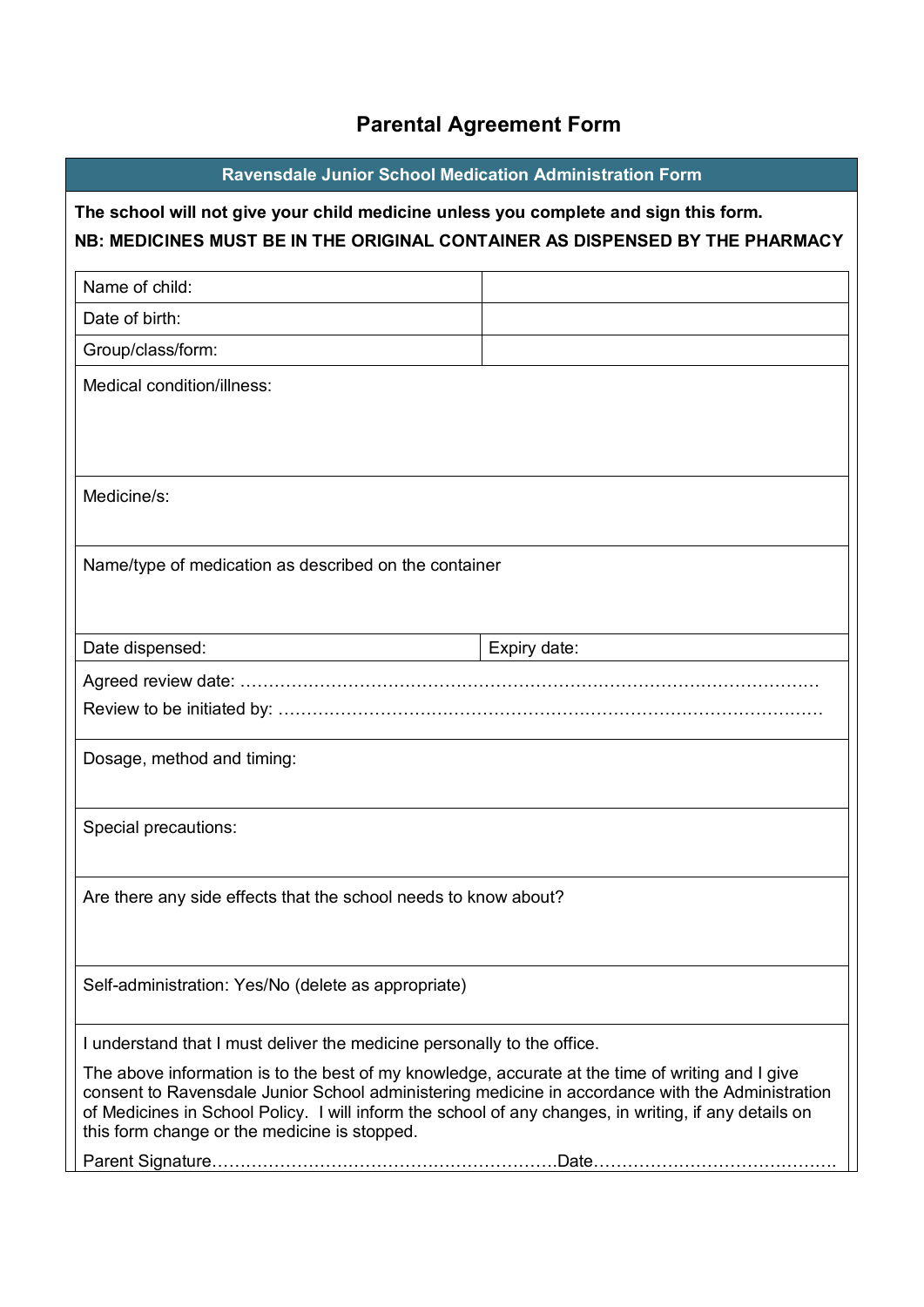# **Parental Agreement Form**

<span id="page-14-0"></span>

| <b>Ravensdale Junior School Medication Administration Form</b>                                                                                                                                                                                                                                                                                                |              |  |
|---------------------------------------------------------------------------------------------------------------------------------------------------------------------------------------------------------------------------------------------------------------------------------------------------------------------------------------------------------------|--------------|--|
| The school will not give your child medicine unless you complete and sign this form.<br>NB: MEDICINES MUST BE IN THE ORIGINAL CONTAINER AS DISPENSED BY THE PHARMACY                                                                                                                                                                                          |              |  |
| Name of child:                                                                                                                                                                                                                                                                                                                                                |              |  |
| Date of birth:                                                                                                                                                                                                                                                                                                                                                |              |  |
| Group/class/form:                                                                                                                                                                                                                                                                                                                                             |              |  |
| Medical condition/illness:                                                                                                                                                                                                                                                                                                                                    |              |  |
| Medicine/s:                                                                                                                                                                                                                                                                                                                                                   |              |  |
| Name/type of medication as described on the container                                                                                                                                                                                                                                                                                                         |              |  |
| Date dispensed:                                                                                                                                                                                                                                                                                                                                               | Expiry date: |  |
|                                                                                                                                                                                                                                                                                                                                                               |              |  |
|                                                                                                                                                                                                                                                                                                                                                               |              |  |
| Dosage, method and timing:                                                                                                                                                                                                                                                                                                                                    |              |  |
| Special precautions:                                                                                                                                                                                                                                                                                                                                          |              |  |
| Are there any side effects that the school needs to know about?                                                                                                                                                                                                                                                                                               |              |  |
| Self-administration: Yes/No (delete as appropriate)                                                                                                                                                                                                                                                                                                           |              |  |
| I understand that I must deliver the medicine personally to the office.                                                                                                                                                                                                                                                                                       |              |  |
| The above information is to the best of my knowledge, accurate at the time of writing and I give<br>consent to Ravensdale Junior School administering medicine in accordance with the Administration<br>of Medicines in School Policy. I will inform the school of any changes, in writing, if any details on<br>this form change or the medicine is stopped. |              |  |
|                                                                                                                                                                                                                                                                                                                                                               |              |  |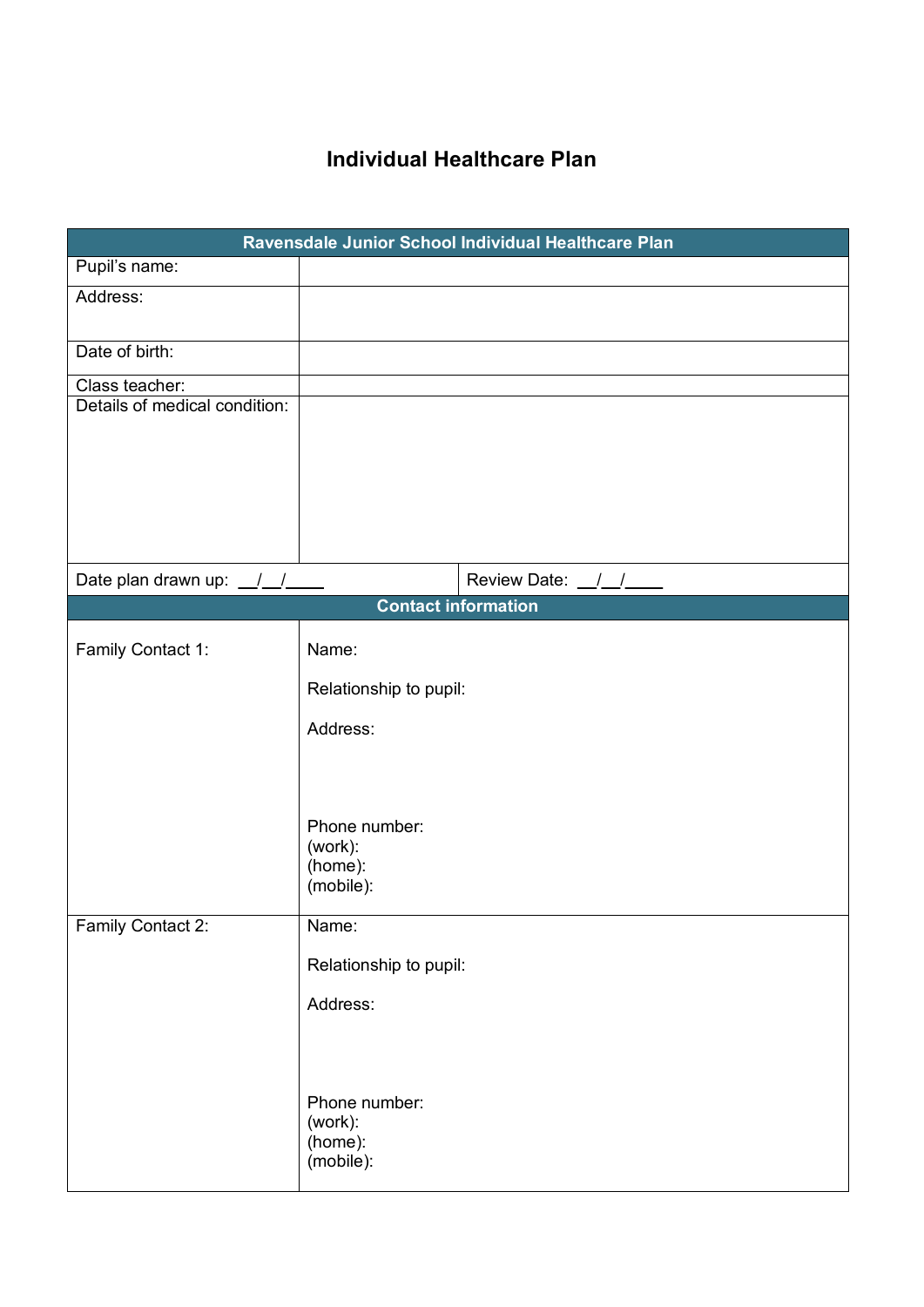## **Individual Healthcare Plan**

<span id="page-15-0"></span>

| Ravensdale Junior School Individual Healthcare Plan |                                                  |  |  |
|-----------------------------------------------------|--------------------------------------------------|--|--|
| Pupil's name:                                       |                                                  |  |  |
| Address:                                            |                                                  |  |  |
| Date of birth:                                      |                                                  |  |  |
| Class teacher:                                      |                                                  |  |  |
| Details of medical condition:                       |                                                  |  |  |
| Date plan drawn up: $\frac{1}{2}$                   | Review Date: $\frac{1}{2}$                       |  |  |
| <b>Contact information</b>                          |                                                  |  |  |
| Family Contact 1:                                   | Name:                                            |  |  |
|                                                     | Relationship to pupil:                           |  |  |
|                                                     | Address:                                         |  |  |
|                                                     | Phone number:<br>(work):<br>(home):<br>(mobile): |  |  |
| Family Contact 2:                                   | Name:                                            |  |  |
|                                                     | Relationship to pupil:                           |  |  |
|                                                     | Address:                                         |  |  |
|                                                     | Phone number:<br>(work):<br>(home):<br>(mobile): |  |  |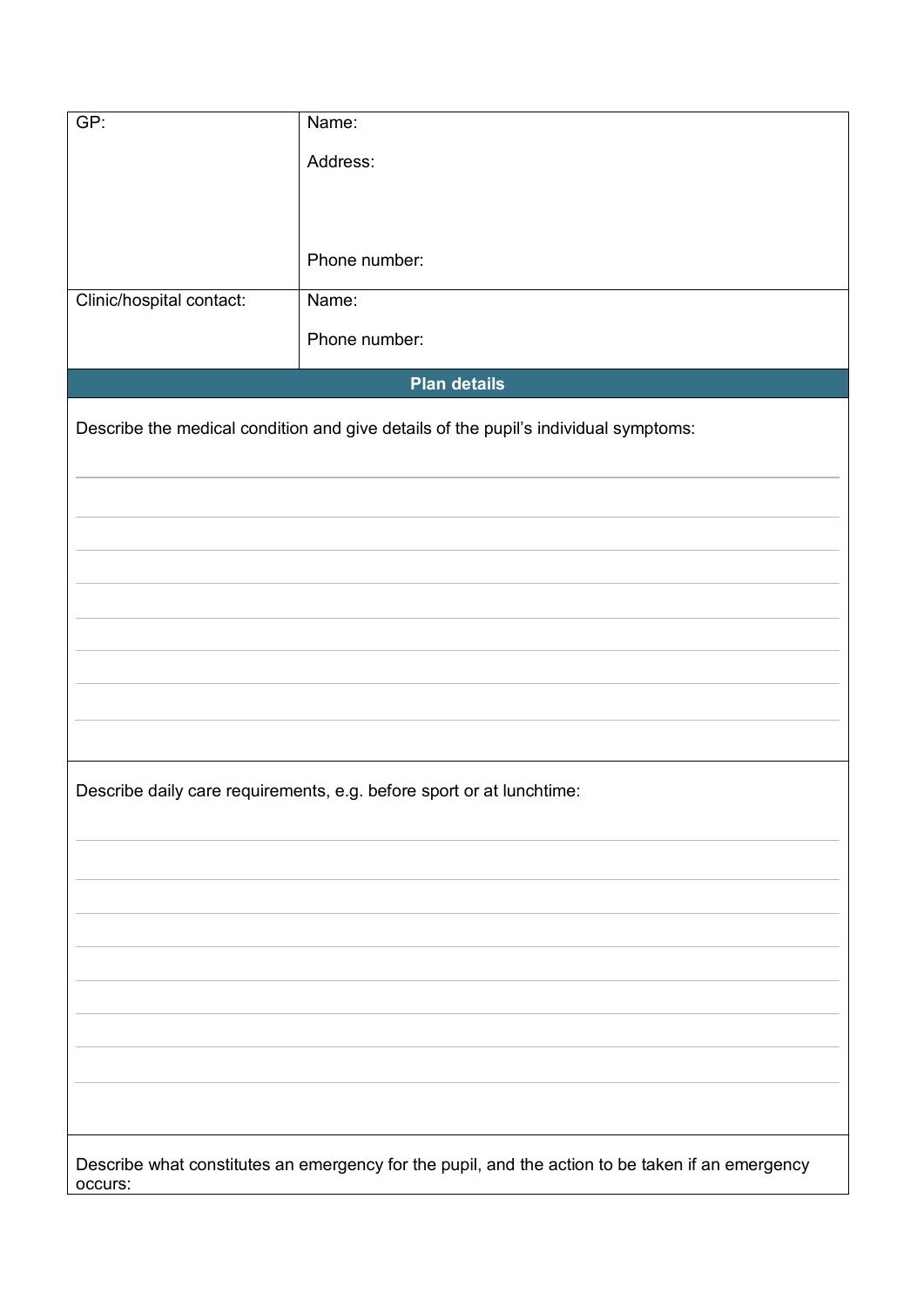| GP:                                                                                 | Name:                                                                                            |  |
|-------------------------------------------------------------------------------------|--------------------------------------------------------------------------------------------------|--|
|                                                                                     | Address:                                                                                         |  |
|                                                                                     |                                                                                                  |  |
|                                                                                     |                                                                                                  |  |
|                                                                                     |                                                                                                  |  |
|                                                                                     | Phone number:                                                                                    |  |
| Clinic/hospital contact:                                                            | Name:                                                                                            |  |
|                                                                                     | Phone number:                                                                                    |  |
|                                                                                     | <b>Plan details</b>                                                                              |  |
|                                                                                     |                                                                                                  |  |
| Describe the medical condition and give details of the pupil's individual symptoms: |                                                                                                  |  |
|                                                                                     |                                                                                                  |  |
|                                                                                     |                                                                                                  |  |
|                                                                                     |                                                                                                  |  |
|                                                                                     |                                                                                                  |  |
|                                                                                     |                                                                                                  |  |
|                                                                                     |                                                                                                  |  |
|                                                                                     |                                                                                                  |  |
|                                                                                     |                                                                                                  |  |
|                                                                                     |                                                                                                  |  |
|                                                                                     |                                                                                                  |  |
|                                                                                     | Describe daily care requirements, e.g. before sport or at lunchtime:                             |  |
|                                                                                     |                                                                                                  |  |
|                                                                                     |                                                                                                  |  |
|                                                                                     |                                                                                                  |  |
|                                                                                     |                                                                                                  |  |
|                                                                                     |                                                                                                  |  |
|                                                                                     |                                                                                                  |  |
|                                                                                     |                                                                                                  |  |
|                                                                                     |                                                                                                  |  |
|                                                                                     |                                                                                                  |  |
|                                                                                     |                                                                                                  |  |
|                                                                                     |                                                                                                  |  |
|                                                                                     |                                                                                                  |  |
| occurs:                                                                             | Describe what constitutes an emergency for the pupil, and the action to be taken if an emergency |  |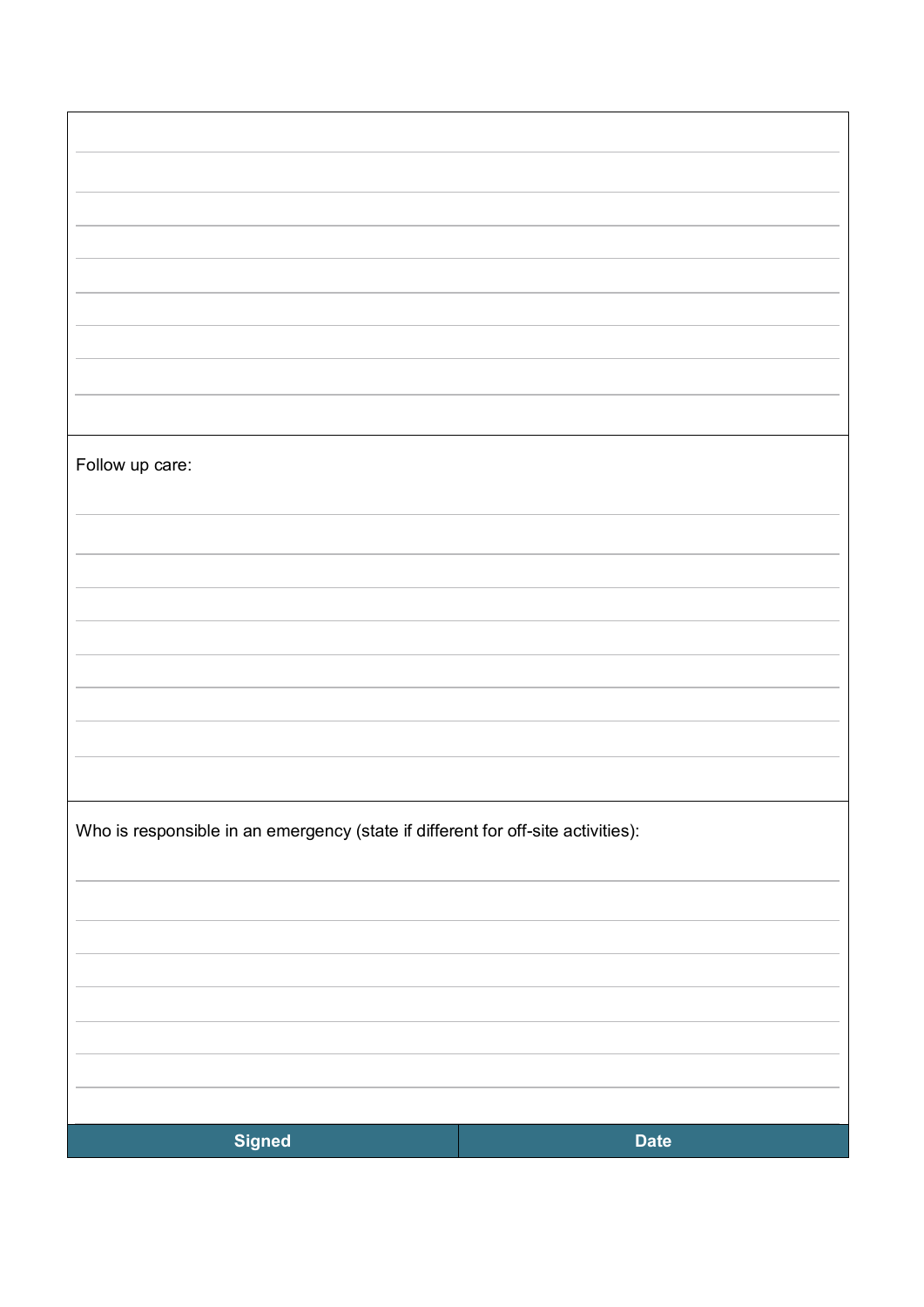| Follow up care:                                                                  |             |  |
|----------------------------------------------------------------------------------|-------------|--|
|                                                                                  |             |  |
|                                                                                  |             |  |
|                                                                                  |             |  |
|                                                                                  |             |  |
|                                                                                  |             |  |
|                                                                                  |             |  |
|                                                                                  |             |  |
|                                                                                  |             |  |
|                                                                                  |             |  |
|                                                                                  |             |  |
|                                                                                  |             |  |
| Who is responsible in an emergency (state if different for off-site activities): |             |  |
|                                                                                  |             |  |
|                                                                                  |             |  |
|                                                                                  |             |  |
|                                                                                  |             |  |
|                                                                                  |             |  |
|                                                                                  |             |  |
|                                                                                  |             |  |
|                                                                                  |             |  |
|                                                                                  |             |  |
|                                                                                  |             |  |
| <b>Signed</b>                                                                    | <b>Date</b> |  |